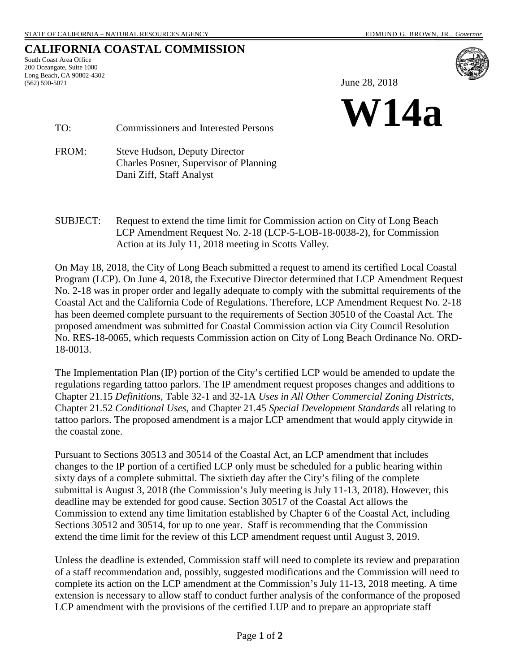## **CALIFORNIA COASTAL COMMISSION**

South Coast Area Office 200 Oceangate, Suite 1000 Long Beach, CA 90802-4302 (562) 590-5071



June 28, 2018



TO: Commissioners and Interested Persons

FROM: Steve Hudson, Deputy Director Charles Posner, Supervisor of Planning Dani Ziff, Staff Analyst

SUBJECT: Request to extend the time limit for Commission action on City of Long Beach LCP Amendment Request No. 2-18 (LCP-5-LOB-18-0038-2), for Commission Action at its July 11, 2018 meeting in Scotts Valley.

On May 18, 2018, the City of Long Beach submitted a request to amend its certified Local Coastal Program (LCP). On June 4, 2018, the Executive Director determined that LCP Amendment Request No. 2-18 was in proper order and legally adequate to comply with the submittal requirements of the Coastal Act and the California Code of Regulations. Therefore, LCP Amendment Request No. 2-18 has been deemed complete pursuant to the requirements of Section 30510 of the Coastal Act. The proposed amendment was submitted for Coastal Commission action via City Council Resolution No. RES-18-0065, which requests Commission action on City of Long Beach Ordinance No. ORD-18-0013.

The Implementation Plan (IP) portion of the City's certified LCP would be amended to update the regulations regarding tattoo parlors. The IP amendment request proposes changes and additions to Chapter 21.15 *Definitions*, Table 32-1 and 32-1A *Uses in All Other Commercial Zoning Districts*, Chapter 21.52 *Conditional Uses*, and Chapter 21.45 *Special Development Standards* all relating to tattoo parlors. The proposed amendment is a major LCP amendment that would apply citywide in the coastal zone.

Pursuant to Sections 30513 and 30514 of the Coastal Act, an LCP amendment that includes changes to the IP portion of a certified LCP only must be scheduled for a public hearing within sixty days of a complete submittal. The sixtieth day after the City's filing of the complete submittal is August 3, 2018 (the Commission's July meeting is July 11-13, 2018). However, this deadline may be extended for good cause. Section 30517 of the Coastal Act allows the Commission to extend any time limitation established by Chapter 6 of the Coastal Act, including Sections 30512 and 30514, for up to one year. Staff is recommending that the Commission extend the time limit for the review of this LCP amendment request until August 3, 2019.

Unless the deadline is extended, Commission staff will need to complete its review and preparation of a staff recommendation and, possibly, suggested modifications and the Commission will need to complete its action on the LCP amendment at the Commission's July 11-13, 2018 meeting. A time extension is necessary to allow staff to conduct further analysis of the conformance of the proposed LCP amendment with the provisions of the certified LUP and to prepare an appropriate staff